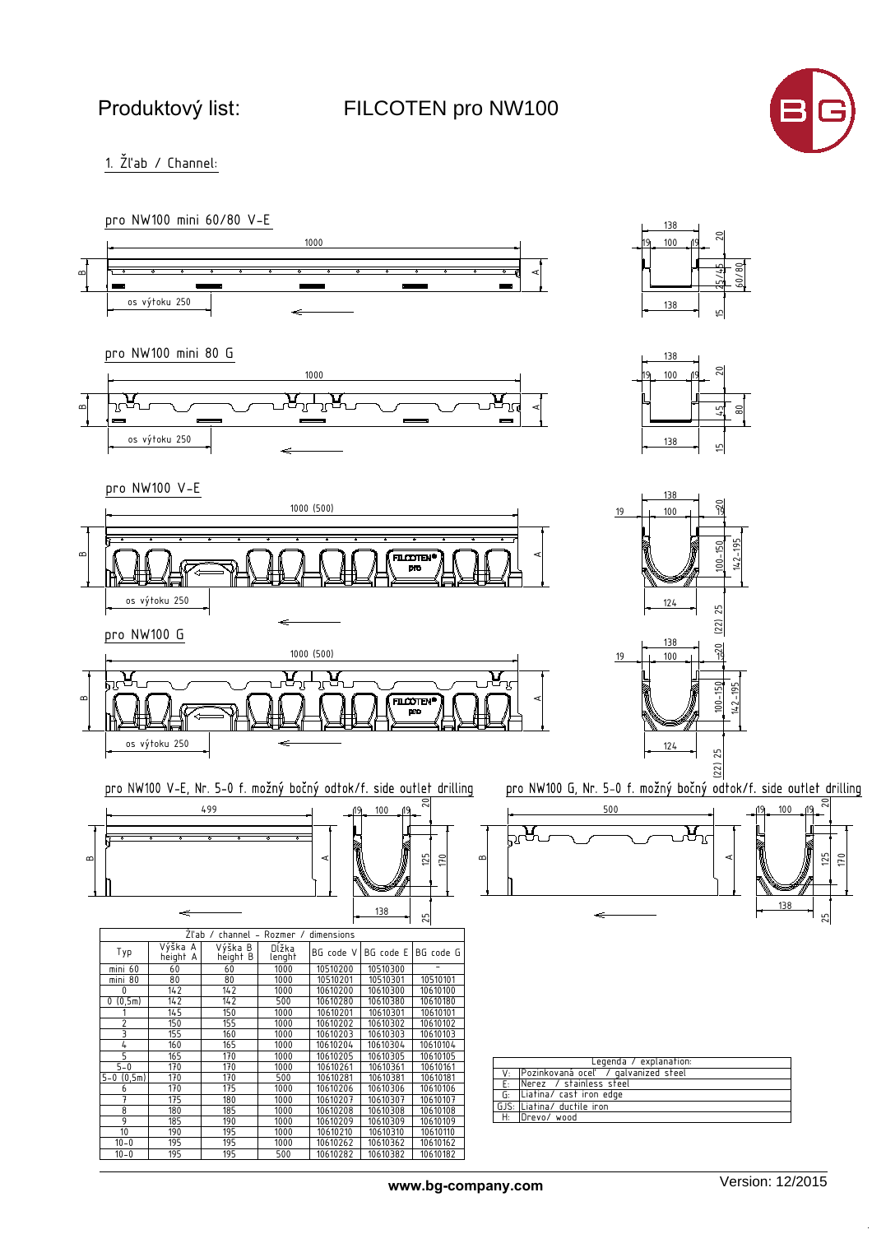FILCOTEN pro NW100



1. Žľab / Channel:

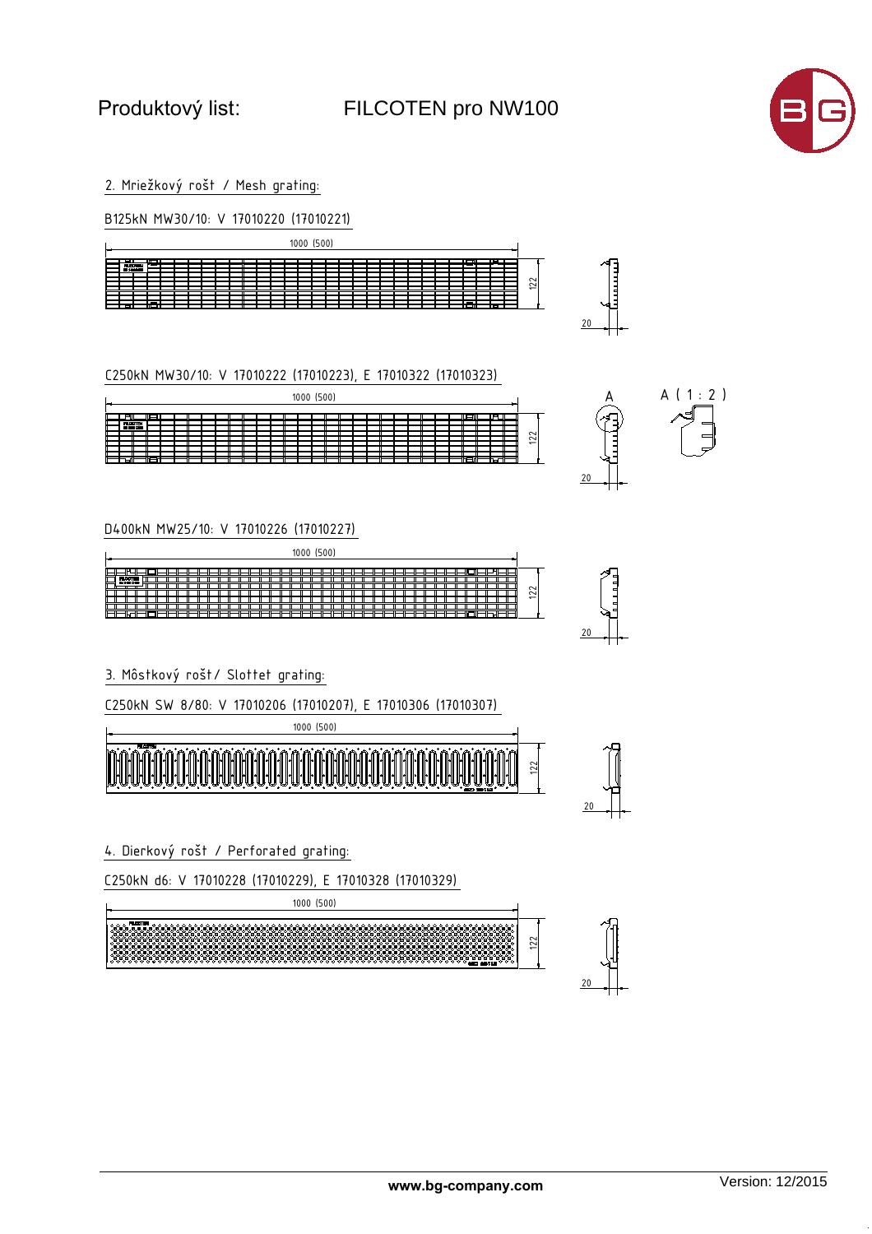3URGXNWRYêOLVW: FILCOTEN pro NW100



2. Mriežkový rošt / Mesh grating:

| B125kN MW30/10: V 17010220 (17010221)                                                                                      |    |
|----------------------------------------------------------------------------------------------------------------------------|----|
| 1000 (500)                                                                                                                 |    |
| $\overline{\phantom{a}}$<br><b>FILCOTEN</b><br><b>BY 1400 BOXS</b><br>$\overline{22}$<br>═<br>ਜ<br><b>TELETIN</b><br>गा गा |    |
|                                                                                                                            | 20 |

C250kN MW30/10: V 17010222 (17010223), E 17010322 (17010323) <sup>122</sup>

|                   |                 |   |  |  |  |  |  | 1000 (500) |  |  |  |  |  |     |      |        |  |
|-------------------|-----------------|---|--|--|--|--|--|------------|--|--|--|--|--|-----|------|--------|--|
|                   |                 | ۳ |  |  |  |  |  |            |  |  |  |  |  | ⊔⊫⊔ | 呵    |        |  |
|                   | <b>FILCOTEN</b> |   |  |  |  |  |  |            |  |  |  |  |  |     |      |        |  |
| <b>BI 149 COI</b> |                 |   |  |  |  |  |  |            |  |  |  |  |  |     |      |        |  |
|                   |                 |   |  |  |  |  |  |            |  |  |  |  |  |     |      | $\sim$ |  |
|                   |                 |   |  |  |  |  |  |            |  |  |  |  |  |     |      | 12     |  |
|                   |                 |   |  |  |  |  |  |            |  |  |  |  |  |     |      |        |  |
|                   |                 |   |  |  |  |  |  |            |  |  |  |  |  |     |      |        |  |
|                   |                 |   |  |  |  |  |  |            |  |  |  |  |  |     |      |        |  |
| ыш                |                 |   |  |  |  |  |  |            |  |  |  |  |  |     | 15 T |        |  |
|                   |                 |   |  |  |  |  |  |            |  |  |  |  |  |     |      |        |  |



D400kN MW25/10: V 17010226 (17010227)

|                     | (500)<br>1000 |                          |
|---------------------|---------------|--------------------------|
| <b>FLOOTEN</b><br>╓ |               |                          |
| <b>BI 1403 D KO</b> |               | $\sim$<br>$\sim$         |
| ы                   | _             | $\overline{\phantom{0}}$ |



20  $\Box$ 

20  $\Box$ 

3. Môstkový rošt/ Slottet grating:

C250kN SW 8/80: V 17010206 (17010207), E 17010306 (17010307)



4. Dierkový rošt / Perforated grating:

C250kN d6: V 17010228 (17010229), E 17010328 (17010329)

122 1000 (500)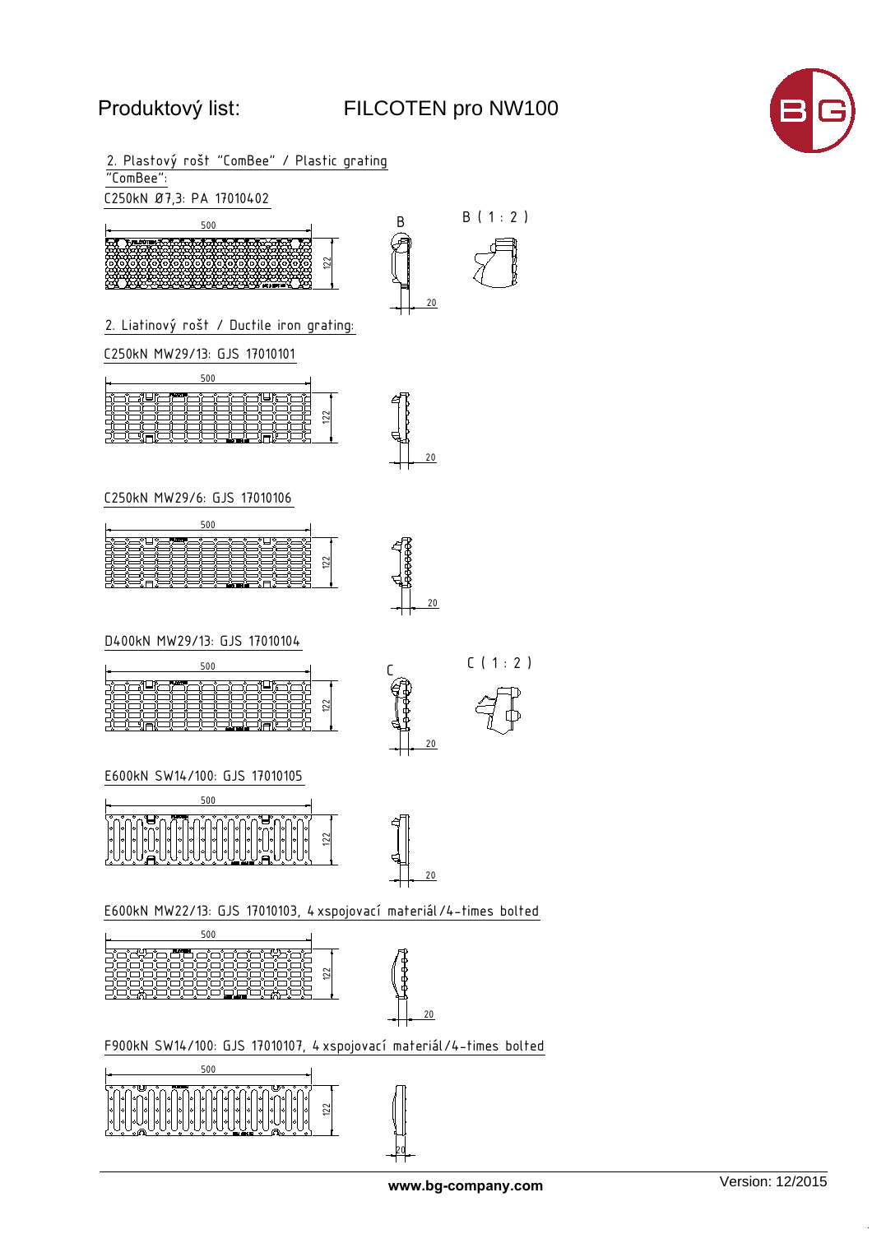# 3URGXNWRYêOLVW: FILCOTEN pro NW100

**www.bg-company.com**





122

20

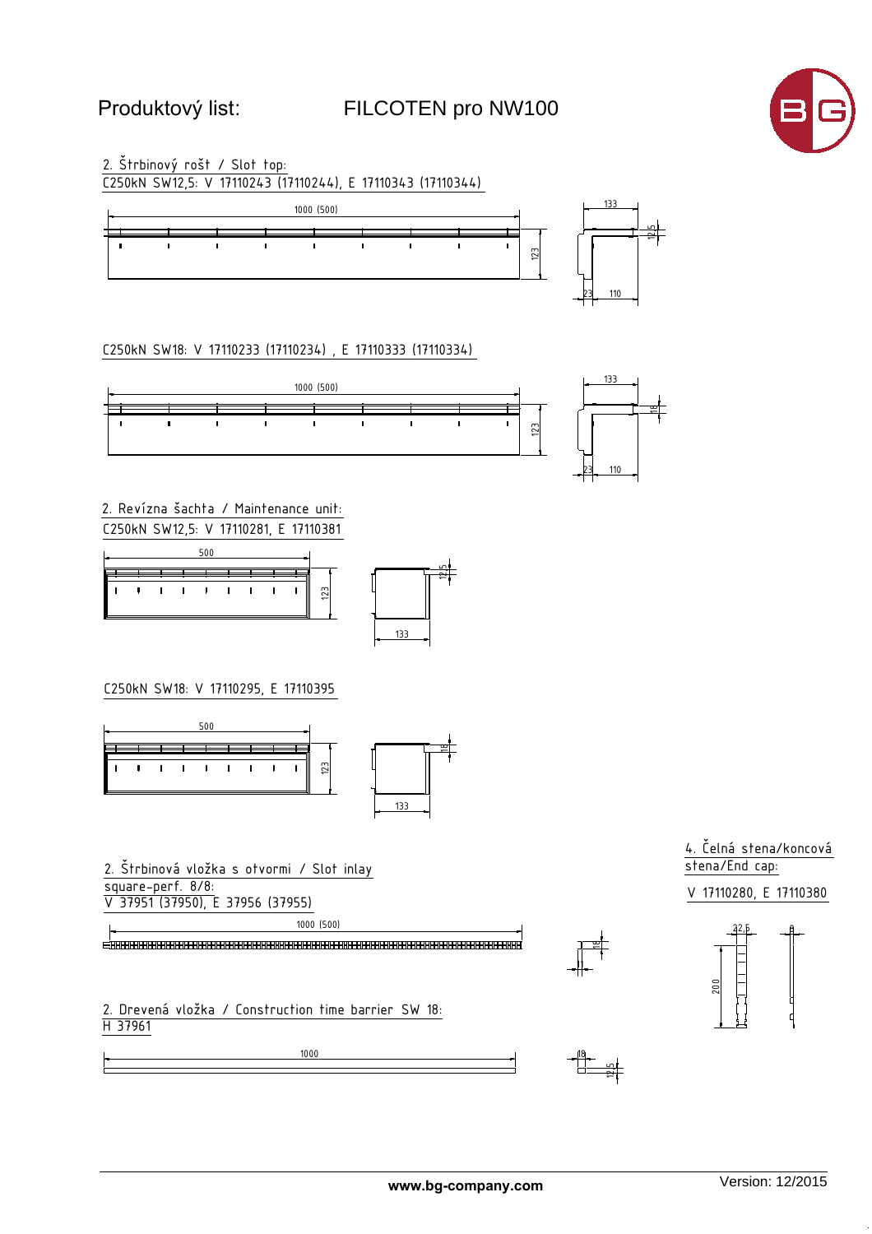## **FILCOTEN pro NW100**



2. Štrbinový rošt / Slot top: C250kN SW12,5: V 17110243 (17110244), E 17110343 (17110344)



C250kN SW18: V 17110233 (17110234), E 17110333 (17110334)



2. Revízna šachta / Maintenance unit: C250kN SW12,5: V 17110281, E 17110381





### C250kN SW18: V 17110295, E 17110395



2. Štrbinová vložka s otvormi / Slot inlay square-perf. 8/8: V 37951 (37950), E 37956 (37955)

1000 (500)

2. Drevená vložka / Construction time barrier SW 18: H 37961







'i'—